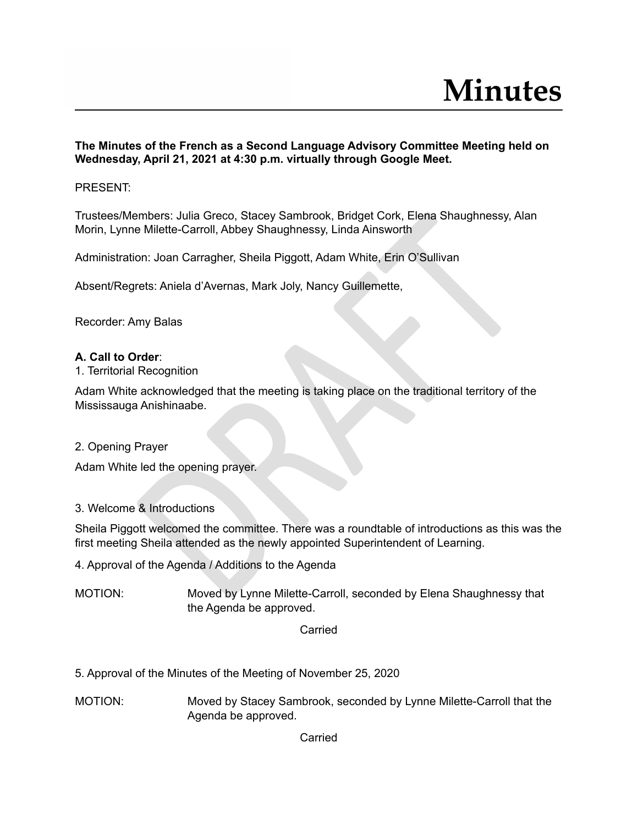**The Minutes of the French as a Second Language Advisory Committee Meeting held on Wednesday, April 21, 2021 at 4:30 p.m. virtually through Google Meet.**

## PRESENT:

Trustees/Members: Julia Greco, Stacey Sambrook, Bridget Cork, Elena Shaughnessy, Alan Morin, Lynne Milette-Carroll, Abbey Shaughnessy, Linda Ainsworth

Administration: Joan Carragher, Sheila Piggott, Adam White, Erin O'Sullivan

Absent/Regrets: Aniela d'Avernas, Mark Joly, Nancy Guillemette,

Recorder: Amy Balas

#### **A. Call to Order**:

1. Territorial Recognition

embers: Julia Greco, Stacey Sambrook, Bridget Cork, Elena Shaughnessy, Ale<br>
Milette-Carroll, Abbey Shaughnessy, Linda Ainsworth<br>
on: Joan Carragher, Sheila Piggott, Adam White. Erin O'Sullivan<br>
rrets: Aniela d'Avernas, Mar Adam White acknowledged that the meeting is taking place on the traditional territory of the Mississauga Anishinaabe.

2. Opening Prayer

Adam White led the opening prayer.

## 3. Welcome & Introductions

Sheila Piggott welcomed the committee. There was a roundtable of introductions as this was the first meeting Sheila attended as the newly appointed Superintendent of Learning.

- 4. Approval of the Agenda / Additions to the Agenda
- MOTION: Moved by Lynne Milette-Carroll, seconded by Elena Shaughnessy that the Agenda be approved.

Carried

- 5. Approval of the Minutes of the Meeting of November 25, 2020
- MOTION: Moved by Stacey Sambrook, seconded by Lynne Milette-Carroll that the Agenda be approved.

Carried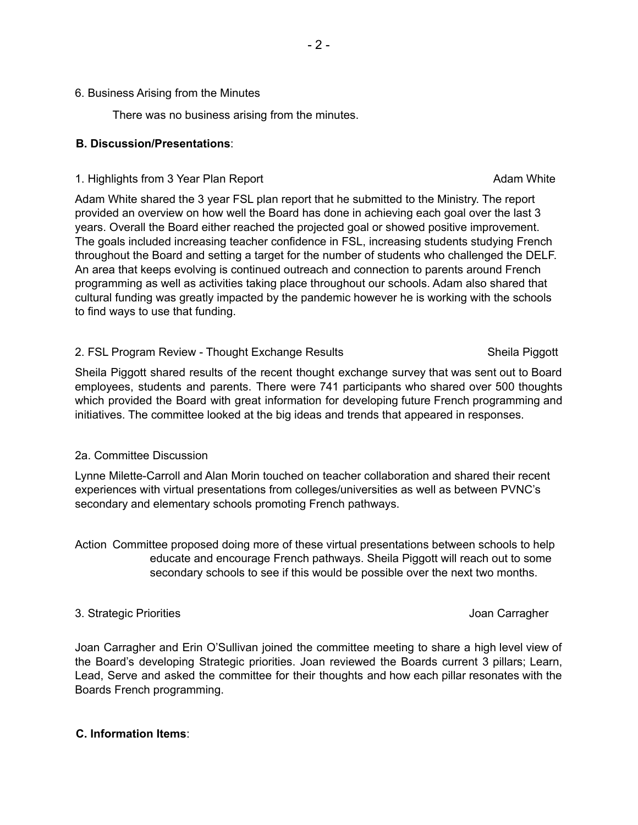#### 6. Business Arising from the Minutes

There was no business arising from the minutes.

### **B. Discussion/Presentations**:

#### 1. Highlights from 3 Year Plan Report **Adam White** Adam White

# Adam White shared the 3 year FSL plan report that he submitted to the Ministry. The report provided an overview on how well the Board has done in achieving each goal over the last 3 years. Overall the Board either reached the projected goal or showed positive improvement. The goals included increasing teacher confidence in FSL, increasing students studying French throughout the Board and setting a target for the number of students who challenged the DELF. An area that keeps evolving is continued outreach and connection to parents around French programming as well as activities taking place throughout our schools. Adam also shared that cultural funding was greatly impacted by the pandemic however he is working with the schools to find ways to use that funding.

#### 2. FSL Program Review - Thought Exchange Results Shella Piggott Sheila Piggott

## Sheila Piggott shared results of the recent thought exchange survey that was sent out to Board employees, students and parents. There were 741 participants who shared over 500 thoughts which provided the Board with great information for developing future French programming and initiatives. The committee looked at the big ideas and trends that appeared in responses.

## 2a. Committee Discussion

Lynne Milette-Carroll and Alan Morin touched on teacher collaboration and shared their recent experiences with virtual presentations from colleges/universities as well as between PVNC's secondary and elementary schools promoting French pathways.

Action Committee proposed doing more of these virtual presentations between schools to help educate and encourage French pathways. Sheila Piggott will reach out to some secondary schools to see if this would be possible over the next two months.

## 3. Strategic Priorities **Accord 2. Strategic Priorities** Joan Carragher

Joan Carragher and Erin O'Sullivan joined the committee meeting to share a high level view of the Board's developing Strategic priorities. Joan reviewed the Boards current 3 pillars; Learn, Lead, Serve and asked the committee for their thoughts and how each pillar resonates with the Boards French programming.

## **C. Information Items**: